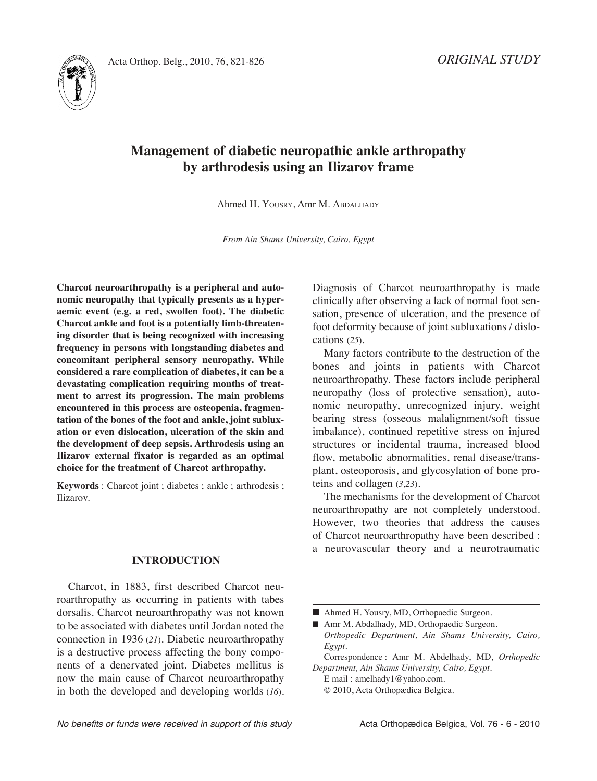



# **Management of diabetic neuropathic ankle arthropathy by arthrodesis using an Ilizarov frame**

Ahmed H. YOuSrY, Amr M. ABDAlHADY

*From Ain Shams University, Cairo, Egypt*

**Charcot neuroarthropathy is a peripheral and autonomic neuropathy that typically presents as a hyperaemic event (e.g. a red, swollen foot). The diabetic Charcot ankle and foot is a potentially limb-threatening disorder that is being recognized with increasing frequency in persons with longstanding diabetes and concomitant peripheral sensory neuropathy. While considered a rare complication of diabetes, it can be a devastating complication requiring months of treatment to arrest its progression. The main problems encountered in this process are osteopenia, fragmentation of the bones of the foot and ankle, joint subluxation or even dislocation, ulceration of the skin and the development of deep sepsis. Arthrodesis using an Ilizarov external fixator is regarded as an optimal choice for the treatment of Charcot arthropathy.**

**Keywords** : Charcot joint ; diabetes ; ankle ; arthrodesis ; Ilizarov.

## **INTRODUCTION**

Charcot, in 1883, first described Charcot neuroarthropathy as occurring in patients with tabes dorsalis. Charcot neuroarthropathy was not known to be associated with diabetes until Jordan noted the connection in 1936 (*21*)*.* Diabetic neuroarthropathy is a destructive process affecting the bony components of a denervated joint. Diabetes mellitus is now the main cause of Charcot neuroarthropathy in both the developed and developing worlds (*16*)*.* Diagnosis of Charcot neuroarthropathy is made clinically after observing a lack of normal foot sensation, presence of ulceration, and the presence of foot deformity because of joint subluxations / dislocations (*25*)*.*

Many factors contribute to the destruction of the bones and joints in patients with Charcot neuroarthropathy. These factors include peripheral neuropathy (loss of protective sensation), autonomic neuropathy, unrecognized injury, weight bearing stress (osseous malalignment/soft tissue imbalance), continued repetitive stress on injured structures or incidental trauma, increased blood flow, metabolic abnormalities, renal disease/transplant, osteoporosis, and glycosylation of bone proteins and collagen (*3,23*)*.*

The mechanisms for the development of Charcot neuroarthropathy are not completely understood. However, two theories that address the causes of Charcot neuroarthropathy have been described : a neurovascular theory and a neurotraumatic

<sup>■</sup> Ahmed H. Yousry, MD, Orthopaedic Surgeon.

<sup>■</sup> Amr M. Abdalhady, MD, Orthopaedic Surgeon. *Orthopedic Department, Ain Shams University, Cairo, Egypt.*

Correspondence : Amr M. Abdelhady, MD, *Orthopedic Department, Ain Shams University, Cairo, Egypt.*

E mail : amelhady1@yahoo.com. © 2010, Acta Orthopædica Belgica.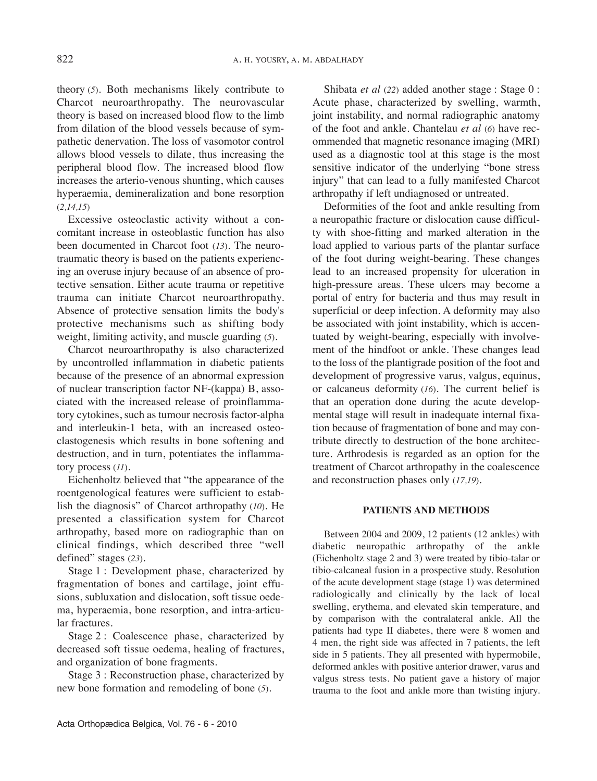theory (*5*). Both mechanisms likely contribute to Charcot neuroarthropathy. The neurovascular theory is based on increased blood flow to the limb from dilation of the blood vessels because of sympathetic denervation. The loss of vasomotor control allows blood vessels to dilate, thus increasing the peripheral blood flow. The increased blood flow increases the arterio-venous shunting, which causes hyperaemia, demineralization and bone resorption (*2,14,15*)

Excessive osteoclastic activity without a concomitant increase in osteoblastic function has also been documented in Charcot foot (*13*)*.* The neurotraumatic theory is based on the patients experiencing an overuse injury because of an absence of protective sensation. Either acute trauma or repetitive trauma can initiate Charcot neuroarthropathy. Absence of protective sensation limits the body's protective mechanisms such as shifting body weight, limiting activity, and muscle guarding (*5*).

Charcot neuroarthropathy is also characterized by uncontrolled inflammation in diabetic patients because of the presence of an abnormal expression of nuclear transcription factor NF-(kappa) B, associated with the increased release of proinflammatory cytokines, such as tumour necrosis factor-alpha and interleukin-1 beta, with an increased osteoclastogenesis which results in bone softening and destruction, and in turn, potentiates the inflammatory process (*11*)*.*

Eichenholtz believed that "the appearance of the roentgenological features were sufficient to establish the diagnosis" of Charcot arthropathy (*10*)*.* He presented a classification system for Charcot arthropathy, based more on radiographic than on clinical findings, which described three "well defined" stages (*23*)*.*

Stage 1 : Development phase, characterized by fragmentation of bones and cartilage, joint effusions, subluxation and dislocation, soft tissue oedema, hyperaemia, bone resorption, and intra-articular fractures.

Stage 2 : Coalescence phase, characterized by decreased soft tissue oedema, healing of fractures, and organization of bone fragments.

Stage 3 : Reconstruction phase, characterized by new bone formation and remodeling of bone (*5*)*.*

Shibata *et al* (*22*) added another stage : Stage 0 : Acute phase, characterized by swelling, warmth, joint instability, and normal radiographic anatomy of the foot and ankle. Chantelau *et al* (*6*) have recommended that magnetic resonance imaging (MrI) used as a diagnostic tool at this stage is the most sensitive indicator of the underlying "bone stress injury" that can lead to a fully manifested Charcot arthropathy if left undiagnosed or untreated.

Deformities of the foot and ankle resulting from a neuropathic fracture or dislocation cause difficulty with shoe-fitting and marked alteration in the load applied to various parts of the plantar surface of the foot during weight-bearing. These changes lead to an increased propensity for ulceration in high-pressure areas. These ulcers may become a portal of entry for bacteria and thus may result in superficial or deep infection. A deformity may also be associated with joint instability, which is accentuated by weight-bearing, especially with involvement of the hindfoot or ankle. These changes lead to the loss of the plantigrade position of the foot and development of progressive varus, valgus, equinus, or calcaneus deformity (*16*)*.* The current belief is that an operation done during the acute developmental stage will result in inadequate internal fixation because of fragmentation of bone and may contribute directly to destruction of the bone architecture. Arthrodesis is regarded as an option for the treatment of Charcot arthropathy in the coalescence and reconstruction phases only (*17,19*)*.*

#### **PATIENTS AND METHODS**

Between 2004 and 2009, 12 patients (12 ankles) with diabetic neuropathic arthropathy of the ankle (Eichenholtz stage 2 and 3) were treated by tibio-talar or tibio-calcaneal fusion in a prospective study. Resolution of the acute development stage (stage 1) was determined radiologically and clinically by the lack of local swelling, erythema, and elevated skin temperature, and by comparison with the contralateral ankle. All the patients had type II diabetes, there were 8 women and 4 men, the right side was affected in 7 patients, the left side in 5 patients. They all presented with hypermobile, deformed ankles with positive anterior drawer, varus and valgus stress tests. No patient gave a history of major trauma to the foot and ankle more than twisting injury.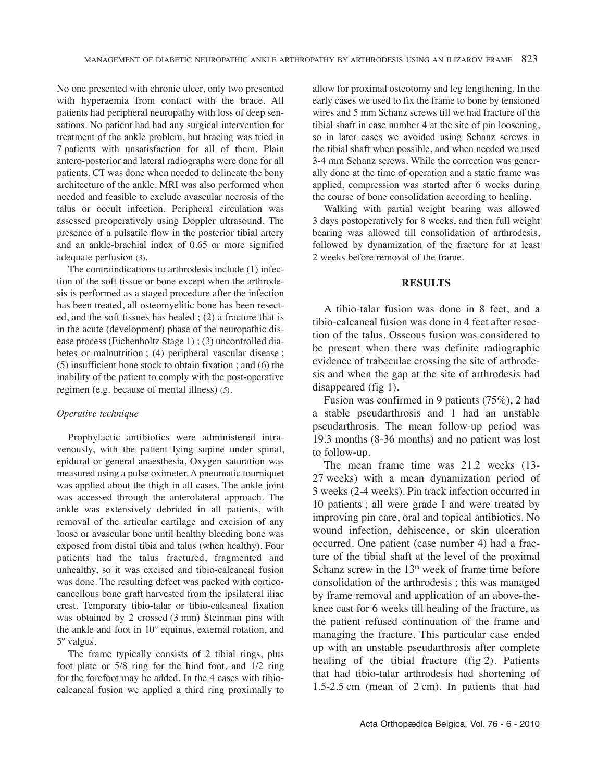No one presented with chronic ulcer, only two presented with hyperaemia from contact with the brace. All patients had peripheral neuropathy with loss of deep sensations. No patient had had any surgical intervention for treatment of the ankle problem, but bracing was tried in 7 patients with unsatisfaction for all of them. plain antero-posterior and lateral radiographs were done for all patients. CT was done when needed to delineate the bony architecture of the ankle. MRI was also performed when needed and feasible to exclude avascular necrosis of the talus or occult infection. Peripheral circulation was assessed preoperatively using Doppler ultrasound. The presence of a pulsatile flow in the posterior tibial artery and an ankle-brachial index of 0.65 or more signified adequate perfusion (*3*)*.*

The contraindications to arthrodesis include (1) infection of the soft tissue or bone except when the arthrodesis is performed as a staged procedure after the infection has been treated, all osteomyelitic bone has been resected, and the soft tissues has healed ; (2) a fracture that is in the acute (development) phase of the neuropathic disease process (Eichenholtz Stage 1) ; (3) uncontrolled diabetes or malnutrition ; (4) peripheral vascular disease ; (5) insufficient bone stock to obtain fixation ; and (6) the inability of the patient to comply with the post-operative regimen (e.g. because of mental illness) (*5*)*.*

#### *Operative technique*

prophylactic antibiotics were administered intravenously, with the patient lying supine under spinal, epidural or general anaesthesia, Oxygen saturation was measured using a pulse oximeter. A pneumatic tourniquet was applied about the thigh in all cases. The ankle joint was accessed through the anterolateral approach. The ankle was extensively debrided in all patients, with removal of the articular cartilage and excision of any loose or avascular bone until healthy bleeding bone was exposed from distal tibia and talus (when healthy). Four patients had the talus fractured, fragmented and unhealthy, so it was excised and tibio-calcaneal fusion was done. The resulting defect was packed with corticocancellous bone graft harvested from the ipsilateral iliac crest. Temporary tibio-talar or tibio-calcaneal fixation was obtained by 2 crossed (3 mm) Steinman pins with the ankle and foot in 10º equinus, external rotation, and 5º valgus.

The frame typically consists of 2 tibial rings, plus foot plate or 5/8 ring for the hind foot, and 1/2 ring for the forefoot may be added. In the 4 cases with tibiocalcaneal fusion we applied a third ring proximally to

allow for proximal osteotomy and leg lengthening. In the early cases we used to fix the frame to bone by tensioned wires and 5 mm Schanz screws till we had fracture of the tibial shaft in case number 4 at the site of pin loosening, so in later cases we avoided using Schanz screws in the tibial shaft when possible, and when needed we used 3-4 mm Schanz screws. While the correction was generally done at the time of operation and a static frame was applied, compression was started after 6 weeks during the course of bone consolidation according to healing.

Walking with partial weight bearing was allowed 3 days postoperatively for 8 weeks, and then full weight bearing was allowed till consolidation of arthrodesis, followed by dynamization of the fracture for at least 2 weeks before removal of the frame.

## **RESULTS**

A tibio-talar fusion was done in 8 feet, and a tibio-calcaneal fusion was done in 4 feet after resection of the talus. Osseous fusion was considered to be present when there was definite radiographic evidence of trabeculae crossing the site of arthrodesis and when the gap at the site of arthrodesis had disappeared (fig 1).

Fusion was confirmed in 9 patients (75%), 2 had a stable pseudarthrosis and 1 had an unstable pseudarthrosis. The mean follow-up period was 19.3 months (8-36 months) and no patient was lost to follow-up.

The mean frame time was 21.2 weeks (13- 27 weeks) with a mean dynamization period of 3 weeks (2-4 weeks). pin track infection occurred in 10 patients ; all were grade I and were treated by improving pin care, oral and topical antibiotics. No wound infection, dehiscence, or skin ulceration occurred. One patient (case number 4) had a fracture of the tibial shaft at the level of the proximal Schanz screw in the  $13<sup>th</sup>$  week of frame time before consolidation of the arthrodesis ; this was managed by frame removal and application of an above-theknee cast for 6 weeks till healing of the fracture, as the patient refused continuation of the frame and managing the fracture. This particular case ended up with an unstable pseudarthrosis after complete healing of the tibial fracture (fig 2). Patients that had tibio-talar arthrodesis had shortening of 1.5-2.5 cm (mean of 2 cm). In patients that had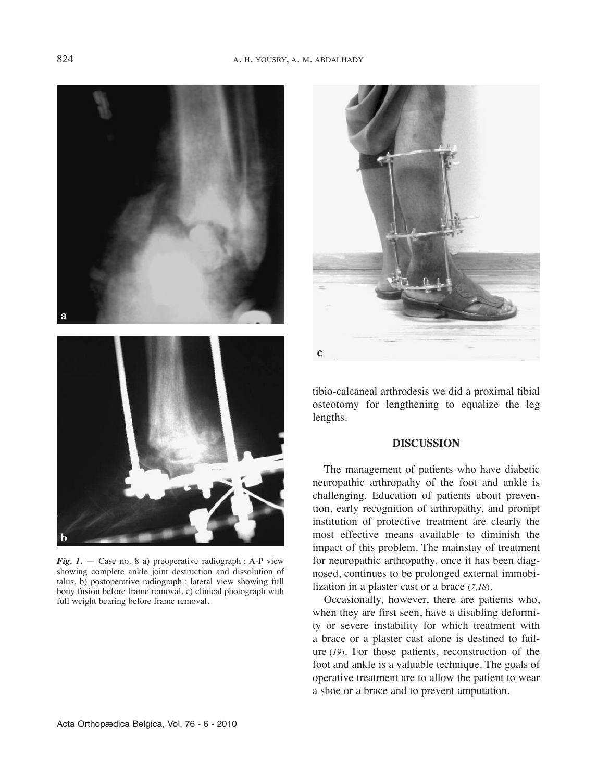

*Fig.*  $1.$  – Case no. 8 a) preoperative radiograph : A-P view showing complete ankle joint destruction and dissolution of talus. b) postoperative radiograph : lateral view showing full bony fusion before frame removal. c) clinical photograph with full weight bearing before frame removal.



tibio-calcaneal arthrodesis we did a proximal tibial osteotomy for lengthening to equalize the leg lengths.

## **DISCUSSION**

The management of patients who have diabetic neuropathic arthropathy of the foot and ankle is challenging. Education of patients about prevention, early recognition of arthropathy, and prompt institution of protective treatment are clearly the most effective means available to diminish the impact of this problem. The mainstay of treatment for neuropathic arthropathy, once it has been diagnosed, continues to be prolonged external immobilization in a plaster cast or a brace (*7,18*)*.*

Occasionally, however, there are patients who, when they are first seen, have a disabling deformity or severe instability for which treatment with a brace or a plaster cast alone is destined to failure (*19*)*.* For those patients, reconstruction of the foot and ankle is a valuable technique. The goals of operative treatment are to allow the patient to wear a shoe or a brace and to prevent amputation.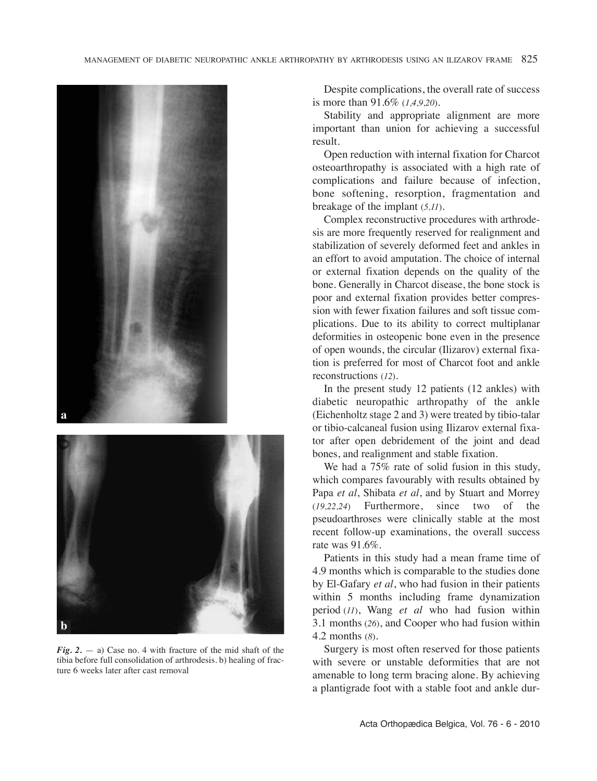



*Fig. 2.* — a) Case no. 4 with fracture of the mid shaft of the tibia before full consolidation of arthrodesis. b) healing of fracture 6 weeks later after cast removal

Despite complications, the overall rate of success is more than 91.6% (*1,4,9,20*)*.*

Stability and appropriate alignment are more important than union for achieving a successful result.

Open reduction with internal fixation for Charcot osteoarthropathy is associated with a high rate of complications and failure because of infection, bone softening, resorption, fragmentation and breakage of the implant (*5,11*)*.*

Complex reconstructive procedures with arthrodesis are more frequently reserved for realignment and stabilization of severely deformed feet and ankles in an effort to avoid amputation. The choice of internal or external fixation depends on the quality of the bone. Generally in Charcot disease, the bone stock is poor and external fixation provides better compression with fewer fixation failures and soft tissue complications. Due to its ability to correct multiplanar deformities in osteopenic bone even in the presence of open wounds, the circular (Ilizarov) external fixation is preferred for most of Charcot foot and ankle reconstructions (*12*)*.*

In the present study 12 patients (12 ankles) with diabetic neuropathic arthropathy of the ankle (Eichenholtz stage 2 and 3) were treated by tibio-talar or tibio-calcaneal fusion using Ilizarov external fixator after open debridement of the joint and dead bones, and realignment and stable fixation.

We had a  $75\%$  rate of solid fusion in this study, which compares favourably with results obtained by papa *et al*, Shibata *et al*, and by Stuart and Morrey (*19,22,24*) Furthermore, since two of the pseudoarthroses were clinically stable at the most recent follow-up examinations, the overall success rate was 91.6%.

patients in this study had a mean frame time of 4.9 months which is comparable to the studies done by El-gafary *et al*, who had fusion in their patients within 5 months including frame dynamization period (*11*), Wang *et al* who had fusion within 3.1 months (*26*), and Cooper who had fusion within 4.2 months (*8*).

Surgery is most often reserved for those patients with severe or unstable deformities that are not amenable to long term bracing alone. By achieving a plantigrade foot with a stable foot and ankle dur